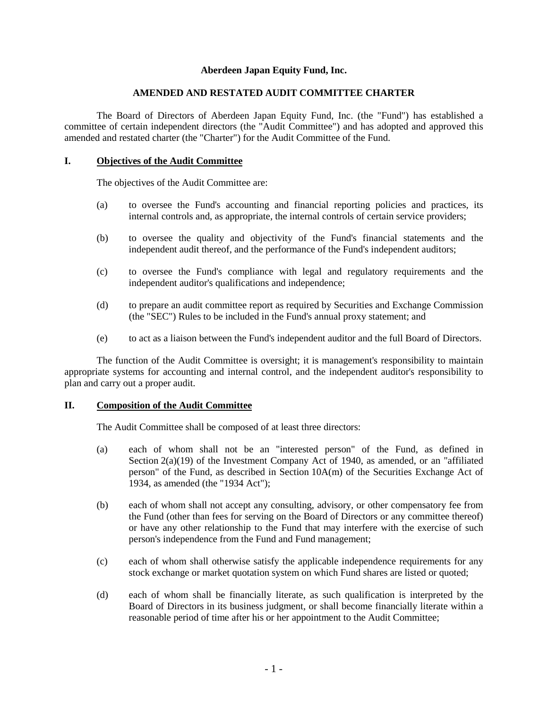## **Aberdeen Japan Equity Fund, Inc.**

#### **AMENDED AND RESTATED AUDIT COMMITTEE CHARTER**

The Board of Directors of Aberdeen Japan Equity Fund, Inc. (the "Fund") has established a committee of certain independent directors (the "Audit Committee") and has adopted and approved this amended and restated charter (the "Charter") for the Audit Committee of the Fund.

### **I. Objectives of the Audit Committee**

The objectives of the Audit Committee are:

- (a) to oversee the Fund's accounting and financial reporting policies and practices, its internal controls and, as appropriate, the internal controls of certain service providers;
- (b) to oversee the quality and objectivity of the Fund's financial statements and the independent audit thereof, and the performance of the Fund's independent auditors;
- (c) to oversee the Fund's compliance with legal and regulatory requirements and the independent auditor's qualifications and independence;
- (d) to prepare an audit committee report as required by Securities and Exchange Commission (the "SEC") Rules to be included in the Fund's annual proxy statement; and
- (e) to act as a liaison between the Fund's independent auditor and the full Board of Directors.

The function of the Audit Committee is oversight; it is management's responsibility to maintain appropriate systems for accounting and internal control, and the independent auditor's responsibility to plan and carry out a proper audit.

## **II. Composition of the Audit Committee**

The Audit Committee shall be composed of at least three directors:

- (a) each of whom shall not be an "interested person" of the Fund, as defined in Section  $2(a)(19)$  of the Investment Company Act of 1940, as amended, or an "affiliated" person" of the Fund, as described in Section 10A(m) of the Securities Exchange Act of 1934, as amended (the "1934 Act");
- (b) each of whom shall not accept any consulting, advisory, or other compensatory fee from the Fund (other than fees for serving on the Board of Directors or any committee thereof) or have any other relationship to the Fund that may interfere with the exercise of such person's independence from the Fund and Fund management;
- (c) each of whom shall otherwise satisfy the applicable independence requirements for any stock exchange or market quotation system on which Fund shares are listed or quoted;
- (d) each of whom shall be financially literate, as such qualification is interpreted by the Board of Directors in its business judgment, or shall become financially literate within a reasonable period of time after his or her appointment to the Audit Committee;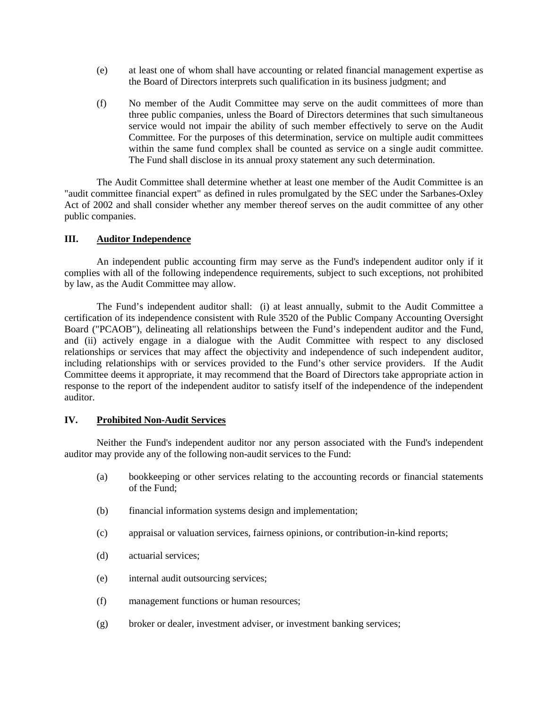- (e) at least one of whom shall have accounting or related financial management expertise as the Board of Directors interprets such qualification in its business judgment; and
- (f) No member of the Audit Committee may serve on the audit committees of more than three public companies, unless the Board of Directors determines that such simultaneous service would not impair the ability of such member effectively to serve on the Audit Committee. For the purposes of this determination, service on multiple audit committees within the same fund complex shall be counted as service on a single audit committee. The Fund shall disclose in its annual proxy statement any such determination.

The Audit Committee shall determine whether at least one member of the Audit Committee is an "audit committee financial expert" as defined in rules promulgated by the SEC under the Sarbanes-Oxley Act of 2002 and shall consider whether any member thereof serves on the audit committee of any other public companies.

## **III. Auditor Independence**

An independent public accounting firm may serve as the Fund's independent auditor only if it complies with all of the following independence requirements, subject to such exceptions, not prohibited by law, as the Audit Committee may allow.

The Fund's independent auditor shall: (i) at least annually, submit to the Audit Committee a certification of its independence consistent with Rule 3520 of the Public Company Accounting Oversight Board ("PCAOB"), delineating all relationships between the Fund's independent auditor and the Fund, and (ii) actively engage in a dialogue with the Audit Committee with respect to any disclosed relationships or services that may affect the objectivity and independence of such independent auditor, including relationships with or services provided to the Fund's other service providers. If the Audit Committee deems it appropriate, it may recommend that the Board of Directors take appropriate action in response to the report of the independent auditor to satisfy itself of the independence of the independent auditor.

### **IV. Prohibited Non-Audit Services**

Neither the Fund's independent auditor nor any person associated with the Fund's independent auditor may provide any of the following non-audit services to the Fund:

- (a) bookkeeping or other services relating to the accounting records or financial statements of the Fund;
- (b) financial information systems design and implementation;
- (c) appraisal or valuation services, fairness opinions, or contribution-in-kind reports;
- (d) actuarial services;
- (e) internal audit outsourcing services;
- (f) management functions or human resources;
- (g) broker or dealer, investment adviser, or investment banking services;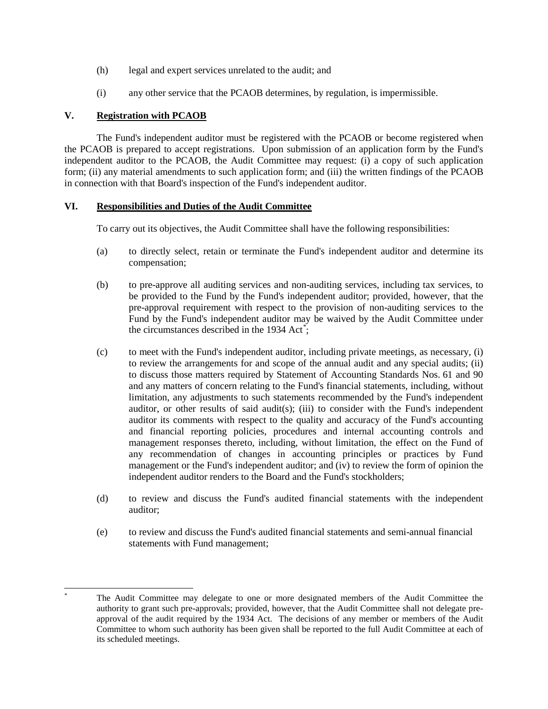- (h) legal and expert services unrelated to the audit; and
- (i) any other service that the PCAOB determines, by regulation, is impermissible.

### **V. Registration with PCAOB**

The Fund's independent auditor must be registered with the PCAOB or become registered when the PCAOB is prepared to accept registrations. Upon submission of an application form by the Fund's independent auditor to the PCAOB, the Audit Committee may request: (i) a copy of such application form; (ii) any material amendments to such application form; and (iii) the written findings of the PCAOB in connection with that Board's inspection of the Fund's independent auditor.

### **VI. Responsibilities and Duties of the Audit Committee**

To carry out its objectives, the Audit Committee shall have the following responsibilities:

- (a) to directly select, retain or terminate the Fund's independent auditor and determine its compensation;
- (b) to pre-approve all auditing services and non-auditing services, including tax services, to be provided to the Fund by the Fund's independent auditor; provided, however, that the pre-approval requirement with respect to the provision of non-auditing services to the Fund by the Fund's independent auditor may be waived by the Audit Committee under the circumstances described in the 1934 Act<sup>[\\*](#page-2-0)</sup>;
- (c) to meet with the Fund's independent auditor, including private meetings, as necessary, (i) to review the arrangements for and scope of the annual audit and any special audits; (ii) to discuss those matters required by Statement of Accounting Standards Nos. 61 and 90 and any matters of concern relating to the Fund's financial statements, including, without limitation, any adjustments to such statements recommended by the Fund's independent auditor, or other results of said audit(s); (iii) to consider with the Fund's independent auditor its comments with respect to the quality and accuracy of the Fund's accounting and financial reporting policies, procedures and internal accounting controls and management responses thereto, including, without limitation, the effect on the Fund of any recommendation of changes in accounting principles or practices by Fund management or the Fund's independent auditor; and (iv) to review the form of opinion the independent auditor renders to the Board and the Fund's stockholders;
- (d) to review and discuss the Fund's audited financial statements with the independent auditor;
- (e) to review and discuss the Fund's audited financial statements and semi-annual financial statements with Fund management;

<span id="page-2-0"></span>The Audit Committee may delegate to one or more designated members of the Audit Committee the authority to grant such pre-approvals; provided, however, that the Audit Committee shall not delegate preapproval of the audit required by the 1934 Act. The decisions of any member or members of the Audit Committee to whom such authority has been given shall be reported to the full Audit Committee at each of its scheduled meetings.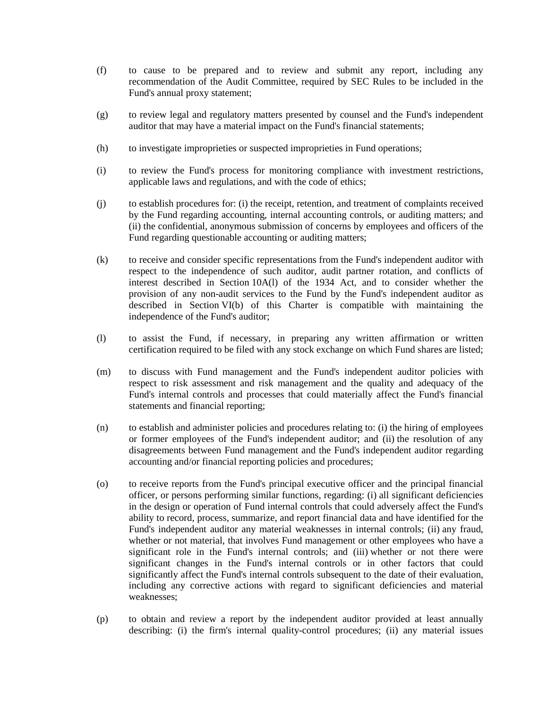- (f) to cause to be prepared and to review and submit any report, including any recommendation of the Audit Committee, required by SEC Rules to be included in the Fund's annual proxy statement;
- (g) to review legal and regulatory matters presented by counsel and the Fund's independent auditor that may have a material impact on the Fund's financial statements;
- (h) to investigate improprieties or suspected improprieties in Fund operations;
- (i) to review the Fund's process for monitoring compliance with investment restrictions, applicable laws and regulations, and with the code of ethics;
- (j) to establish procedures for: (i) the receipt, retention, and treatment of complaints received by the Fund regarding accounting, internal accounting controls, or auditing matters; and (ii) the confidential, anonymous submission of concerns by employees and officers of the Fund regarding questionable accounting or auditing matters;
- (k) to receive and consider specific representations from the Fund's independent auditor with respect to the independence of such auditor, audit partner rotation, and conflicts of interest described in Section 10A(l) of the 1934 Act, and to consider whether the provision of any non-audit services to the Fund by the Fund's independent auditor as described in Section VI(b) of this Charter is compatible with maintaining the independence of the Fund's auditor;
- (l) to assist the Fund, if necessary, in preparing any written affirmation or written certification required to be filed with any stock exchange on which Fund shares are listed;
- (m) to discuss with Fund management and the Fund's independent auditor policies with respect to risk assessment and risk management and the quality and adequacy of the Fund's internal controls and processes that could materially affect the Fund's financial statements and financial reporting;
- (n) to establish and administer policies and procedures relating to: (i) the hiring of employees or former employees of the Fund's independent auditor; and (ii) the resolution of any disagreements between Fund management and the Fund's independent auditor regarding accounting and/or financial reporting policies and procedures;
- (o) to receive reports from the Fund's principal executive officer and the principal financial officer, or persons performing similar functions, regarding: (i) all significant deficiencies in the design or operation of Fund internal controls that could adversely affect the Fund's ability to record, process, summarize, and report financial data and have identified for the Fund's independent auditor any material weaknesses in internal controls; (ii) any fraud, whether or not material, that involves Fund management or other employees who have a significant role in the Fund's internal controls; and (iii) whether or not there were significant changes in the Fund's internal controls or in other factors that could significantly affect the Fund's internal controls subsequent to the date of their evaluation, including any corrective actions with regard to significant deficiencies and material weaknesses;
- (p) to obtain and review a report by the independent auditor provided at least annually describing: (i) the firm's internal quality-control procedures; (ii) any material issues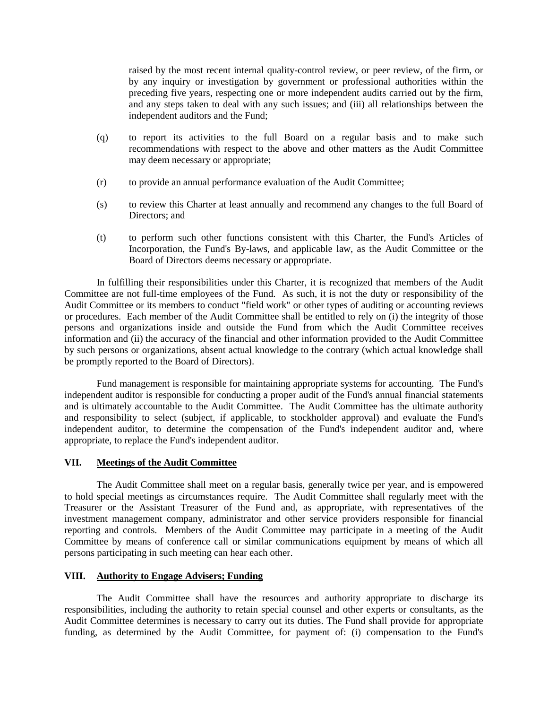raised by the most recent internal quality-control review, or peer review, of the firm, or by any inquiry or investigation by government or professional authorities within the preceding five years, respecting one or more independent audits carried out by the firm, and any steps taken to deal with any such issues; and (iii) all relationships between the independent auditors and the Fund;

- (q) to report its activities to the full Board on a regular basis and to make such recommendations with respect to the above and other matters as the Audit Committee may deem necessary or appropriate;
- (r) to provide an annual performance evaluation of the Audit Committee;
- (s) to review this Charter at least annually and recommend any changes to the full Board of Directors; and
- (t) to perform such other functions consistent with this Charter, the Fund's Articles of Incorporation, the Fund's By-laws, and applicable law, as the Audit Committee or the Board of Directors deems necessary or appropriate.

In fulfilling their responsibilities under this Charter, it is recognized that members of the Audit Committee are not full-time employees of the Fund. As such, it is not the duty or responsibility of the Audit Committee or its members to conduct "field work" or other types of auditing or accounting reviews or procedures. Each member of the Audit Committee shall be entitled to rely on (i) the integrity of those persons and organizations inside and outside the Fund from which the Audit Committee receives information and (ii) the accuracy of the financial and other information provided to the Audit Committee by such persons or organizations, absent actual knowledge to the contrary (which actual knowledge shall be promptly reported to the Board of Directors).

Fund management is responsible for maintaining appropriate systems for accounting. The Fund's independent auditor is responsible for conducting a proper audit of the Fund's annual financial statements and is ultimately accountable to the Audit Committee. The Audit Committee has the ultimate authority and responsibility to select (subject, if applicable, to stockholder approval) and evaluate the Fund's independent auditor, to determine the compensation of the Fund's independent auditor and, where appropriate, to replace the Fund's independent auditor.

## **VII. Meetings of the Audit Committee**

The Audit Committee shall meet on a regular basis, generally twice per year, and is empowered to hold special meetings as circumstances require. The Audit Committee shall regularly meet with the Treasurer or the Assistant Treasurer of the Fund and, as appropriate, with representatives of the investment management company, administrator and other service providers responsible for financial reporting and controls. Members of the Audit Committee may participate in a meeting of the Audit Committee by means of conference call or similar communications equipment by means of which all persons participating in such meeting can hear each other.

# **VIII. Authority to Engage Advisers; Funding**

The Audit Committee shall have the resources and authority appropriate to discharge its responsibilities, including the authority to retain special counsel and other experts or consultants, as the Audit Committee determines is necessary to carry out its duties. The Fund shall provide for appropriate funding, as determined by the Audit Committee, for payment of: (i) compensation to the Fund's